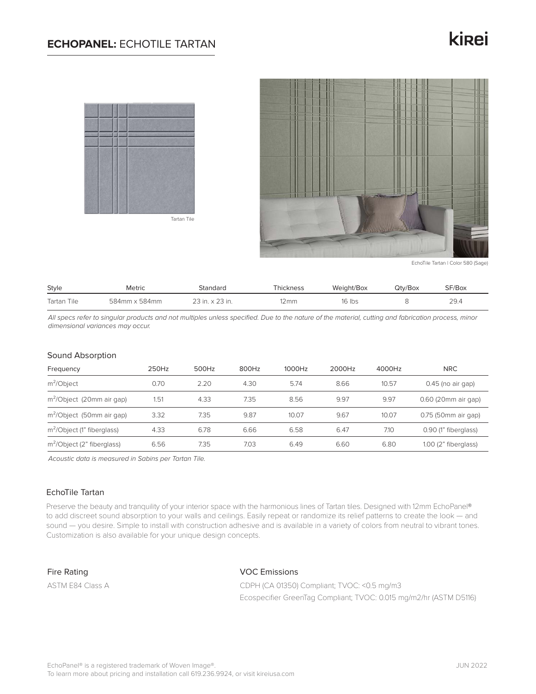## **ECHOPANEL:** ECHOTILE TARTAN

# kinei



Tartan Tile



EchoTile Tartan | Color 580 (Sage)

| <b>Style</b> | Metric        | Standard        | Thickness      | Weight/Box | Qtv/Box | SF/Box |
|--------------|---------------|-----------------|----------------|------------|---------|--------|
| Tartan Tile  | 584mm x 584mm | 23 in. x 23 in. | $12 \text{mm}$ | 16 Ibs     |         | 29.4   |

*All specs refer to singular products and not multiples unless specified. Due to the nature of the material, cutting and fabrication process, minor dimensional variances may occur.*

#### Sound Absorption

| Frequency                              | 250Hz | 500Hz | 800Hz | 1000Hz | 2000Hz | 4000Hz | <b>NRC</b>           |
|----------------------------------------|-------|-------|-------|--------|--------|--------|----------------------|
| $m^2$ Object                           | 0.70  | 2.20  | 4.30  | 5.74   | 8.66   | 10.57  | $0.45$ (no air gap)  |
| m <sup>2</sup> /Object (20mm air gap)  | 1.51  | 4.33  | 7.35  | 8.56   | 9.97   | 9.97   | 0.60 (20mm air gap)  |
| m <sup>2</sup> /Object (50mm air gap)  | 3.32  | 7.35  | 9.87  | 10.07  | 9.67   | 10.07  | 0.75 (50mm air gap)  |
| m <sup>2</sup> /Object (1" fiberglass) | 4.33  | 6.78  | 6.66  | 6.58   | 6.47   | 7.10   | 0.90 (1" fiberglass) |
| m <sup>2</sup> /Object (2" fiberglass) | 6.56  | 7.35  | 7.03  | 6.49   | 6.60   | 6.80   | 1.00 (2" fiberglass) |

*Acoustic data is measured in Sabins per Tartan Tile.*

### EchoTile Tartan

Preserve the beauty and tranquility of your interior space with the harmonious lines of Tartan tiles. Designed with 12mm EchoPanel® to add discreet sound absorption to your walls and ceilings. Easily repeat or randomize its relief patterns to create the look — and sound — you desire. Simple to install with construction adhesive and is available in a variety of colors from neutral to vibrant tones. Customization is also available for your unique design concepts.

Fire Rating

ASTM E84 Class A

VOC Emissions

CDPH (CA 01350) Compliant; TVOC: <0.5 mg/m3 Ecospecifier GreenTag Compliant; TVOC: 0.015 mg/m2/hr (ASTM D5116)